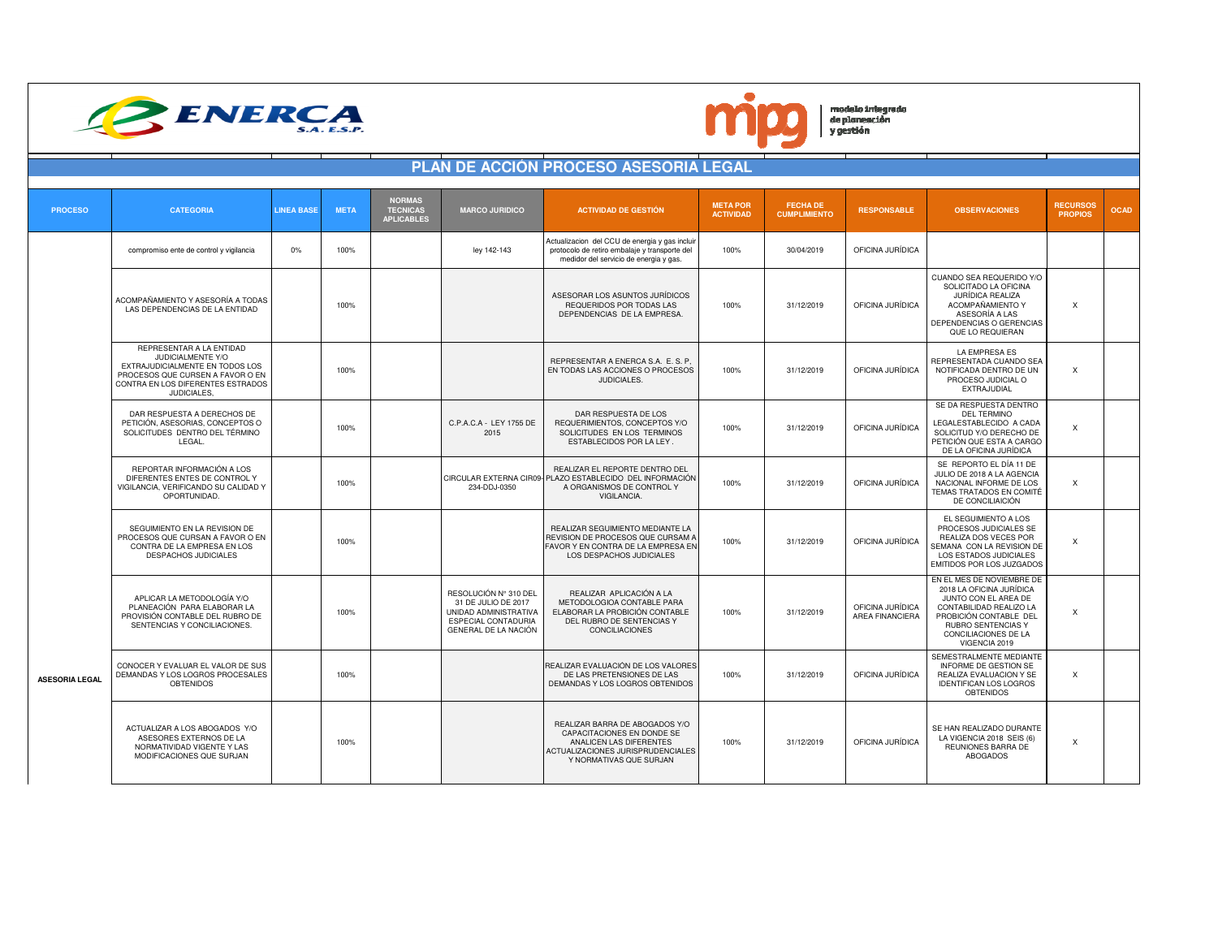



 $\left| \begin{array}{c} \text{models integrado} \\ \text{de planeación} \\ \text{y gestión} \end{array} \right|$ 

|                       |                                                                                                                                                                          |                                  |                                                       |                                                                                                                             | <b>PLAN DE ACCIÓN PROCESO ASESORIA LEGAL</b>                                                                                                            |                                     |                                        |                                            |                                                                                                                                                                                                   |                                   |             |
|-----------------------|--------------------------------------------------------------------------------------------------------------------------------------------------------------------------|----------------------------------|-------------------------------------------------------|-----------------------------------------------------------------------------------------------------------------------------|---------------------------------------------------------------------------------------------------------------------------------------------------------|-------------------------------------|----------------------------------------|--------------------------------------------|---------------------------------------------------------------------------------------------------------------------------------------------------------------------------------------------------|-----------------------------------|-------------|
| <b>PROCESO</b>        | <b>CATEGORIA</b>                                                                                                                                                         | <b>LINEA BASE</b><br><b>META</b> | <b>NORMAS</b><br><b>TECNICAS</b><br><b>APLICABLES</b> | <b>MARCO JURIDICO</b>                                                                                                       | <b>ACTIVIDAD DE GESTIÓN</b>                                                                                                                             | <b>META POR</b><br><b>ACTIVIDAD</b> | <b>FECHA DE</b><br><b>CUMPLIMIENTO</b> | <b>RESPONSABLE</b>                         | <b>OBSERVACIONES</b>                                                                                                                                                                              | <b>RECURSOS</b><br><b>PROPIOS</b> | <b>OCAD</b> |
|                       | compromiso ente de control y vigilancia                                                                                                                                  | 0%<br>100%                       |                                                       | ley 142-143                                                                                                                 | Actualizacion del CCU de energia y gas incluir<br>protocolo de retiro embalaje y transporte del<br>medidor del servicio de energia y gas.               | 100%                                | 30/04/2019                             | OFICINA JURÍDICA                           |                                                                                                                                                                                                   |                                   |             |
|                       | ACOMPAÑAMIENTO Y ASESORÍA A TODAS<br>LAS DEPENDENCIAS DE LA ENTIDAD                                                                                                      | 100%                             |                                                       |                                                                                                                             | ASESORAR LOS ASUNTOS JURÍDICOS<br>REQUERIDOS POR TODAS LAS<br>DEPENDENCIAS DE LA EMPRESA                                                                | 100%                                | 31/12/2019                             | OFICINA JURÍDICA                           | CUANDO SEA REQUERIDO Y/O<br>SOLICITADO LA OFICINA<br><b>JURÍDICA REALIZA</b><br>ACOMPAÑAMIENTO Y<br>ASESORÍA A LAS<br>DEPENDENCIAS O GERENCIAS<br>QUE LO REQUIERAN                                | $\times$                          |             |
|                       | REPRESENTAR A LA ENTIDAD<br>JUDICIALMENTE Y/O<br>EXTRAJUDICIALMENTE EN TODOS LOS<br>PROCESOS QUE CURSEN A FAVOR O EN<br>CONTRA EN LOS DIFERENTES ESTRADOS<br>JUDICIALES, | 100%                             |                                                       |                                                                                                                             | REPRESENTAR A ENERCA S.A. E. S. P.<br>EN TODAS LAS ACCIONES O PROCESOS<br>JUDICIALES.                                                                   | 100%                                | 31/12/2019                             | OFICINA JURÍDICA                           | <b>LA EMPRESA ES</b><br>REPRESENTADA CUANDO SEA<br>NOTIFICADA DENTRO DE UN<br>PROCESO JUDICIAL O<br>EXTRAJUDIAL                                                                                   | $\boldsymbol{\mathsf{x}}$         |             |
|                       | DAR RESPUESTA A DERECHOS DE<br>PETICIÓN, ASESORIAS, CONCEPTOS O<br>SOLICITUDES DENTRO DEL TÉRMINO<br>LEGAL.                                                              | 100%                             |                                                       | C.P.A.C.A - LEY 1755 DE<br>2015                                                                                             | DAR RESPUESTA DE LOS<br>REQUERIMIENTOS, CONCEPTOS Y/O<br>SOLICITUDES EN LOS TERMINOS<br>ESTABLECIDOS POR LA LEY.                                        | 100%                                | 31/12/2019                             | OFICINA JURÍDICA                           | SE DA RESPUESTA DENTRO<br><b>DEL TERMINO</b><br>LEGALESTABLECIDO A CADA<br>SOLICITUD Y/O DERECHO DE<br>PETICIÓN QUE ESTA A CARGO<br>DE LA OFICINA JURÍDICA                                        | $\boldsymbol{\mathsf{x}}$         |             |
|                       | REPORTAR INFORMACIÓN A LOS<br>DIFERENTES ENTES DE CONTROL Y<br>VIGILANCIA. VERIFICANDO SU CALIDAD Y<br>OPORTUNIDAD.                                                      | 100%                             |                                                       | 234-DDJ-0350                                                                                                                | REALIZAR EL REPORTE DENTRO DEL<br>CIRCULAR EXTERNA CIR09- PLAZO ESTABLECIDO DEL INFORMACIÓN<br>A ORGANISMOS DE CONTROL Y<br>VIGILANCIA.                 | 100%                                | 31/12/2019                             | OFICINA JURÍDICA                           | SE REPORTO EL DÍA 11 DE<br>JULIO DE 2018 A LA AGENCIA<br>NACIONAL INFORME DE LOS<br>TEMAS TRATADOS EN COMITÉ<br>DE CONCILIAICIÓN                                                                  | X                                 |             |
|                       | SEGUIMIENTO EN LA REVISION DE<br>PROCESOS QUE CURSAN A FAVOR O EN<br>CONTRA DE LA EMPRESA EN LOS<br><b>DESPACHOS JUDICIALES</b>                                          | 100%                             |                                                       |                                                                                                                             | REALIZAR SEGUIMIENTO MEDIANTE LA<br>REVISION DE PROCESOS QUE CURSAM A<br>FAVOR Y EN CONTRA DE LA EMPRESA EN<br>LOS DESPACHOS JUDICIALES                 | 100%                                | 31/12/2019                             | OFICINA JURÍDICA                           | EL SEGUIMIENTO A LOS<br>PROCESOS JUDICIALES SE<br>REALIZA DOS VECES POR<br>SEMANA CON LA REVISION DE<br>LOS ESTADOS JUDICIALES<br>EMITIDOS POR LOS JUZGADOS                                       | X                                 |             |
|                       | APLICAR LA METODOLOGÍA Y/O<br>PLANEACIÓN PARA ELABORAR LA<br>PROVISIÓN CONTABLE DEL RUBRO DE<br>SENTENCIAS Y CONCILIACIONES.                                             | 100%                             |                                                       | RESOLUCIÓN Nº 310 DEL<br>31 DE JULIO DE 2017<br>UNIDAD ADMINISTRATIVA<br><b>ESPECIAL CONTADURIA</b><br>GENERAL DE LA NACIÓN | REALIZAR APLICACIÓN A LA<br>METODOLOGIOA CONTABLE PARA<br>ELABORAR LA PROBICIÓN CONTABLE<br>DEL RUBRO DE SENTENCIAS Y<br>CONCILIACIONES                 | 100%                                | 31/12/2019                             | OFICINA JURÍDICA<br><b>AREA FINANCIERA</b> | EN EL MES DE NOVIEMBRE DE<br>2018 LA OFICINA JURÍDICA<br>JUNTO CON EL AREA DE<br>CONTABILIDAD REALIZO LA<br>PROBICIÓN CONTABLE DEL<br>RUBRO SENTENCIAS Y<br>CONCILIACIONES DE LA<br>VIGENCIA 2019 | X                                 |             |
| <b>ASESORIA LEGAL</b> | CONOCER Y EVALUAR EL VALOR DE SUS<br>DEMANDAS Y LOS LOGROS PROCESALES<br>OBTENIDOS                                                                                       | 100%                             |                                                       |                                                                                                                             | REALIZAR EVALUACIÓN DE LOS VALORES<br>DE LAS PRETENSIONES DE LAS<br>DEMANDAS Y LOS LOGROS OBTENIDOS                                                     | 100%                                | 31/12/2019                             | OFICINA JURÍDICA                           | SEMESTRALMENTE MEDIANTE<br>INFORME DE GESTION SE<br>REALIZA EVALUACION Y SE<br><b>IDENTIFICAN LOS LOGROS</b><br><b>OBTENIDOS</b>                                                                  | X                                 |             |
|                       | ACTUALIZAR A LOS ABOGADOS Y/O<br>ASESORES EXTERNOS DE LA<br>NORMATIVIDAD VIGENTE Y LAS<br>MODIFICACIONES QUE SURJAN                                                      | 100%                             |                                                       |                                                                                                                             | REALIZAR BARRA DE ABOGADOS Y/O<br>CAPACITACIONES EN DONDE SE<br>ANALICEN LAS DIFERENTES<br>ACTUALIZACIONES JURISPRUDENCIALES<br>Y NORMATIVAS QUE SURJAN | 100%                                | 31/12/2019                             | OFICINA JURÍDICA                           | SE HAN REALIZADO DURANTE<br>LA VIGENCIA 2018 SEIS (6)<br>REUNIONES BARRA DE<br><b>ABOGADOS</b>                                                                                                    | $\boldsymbol{\mathsf{x}}$         |             |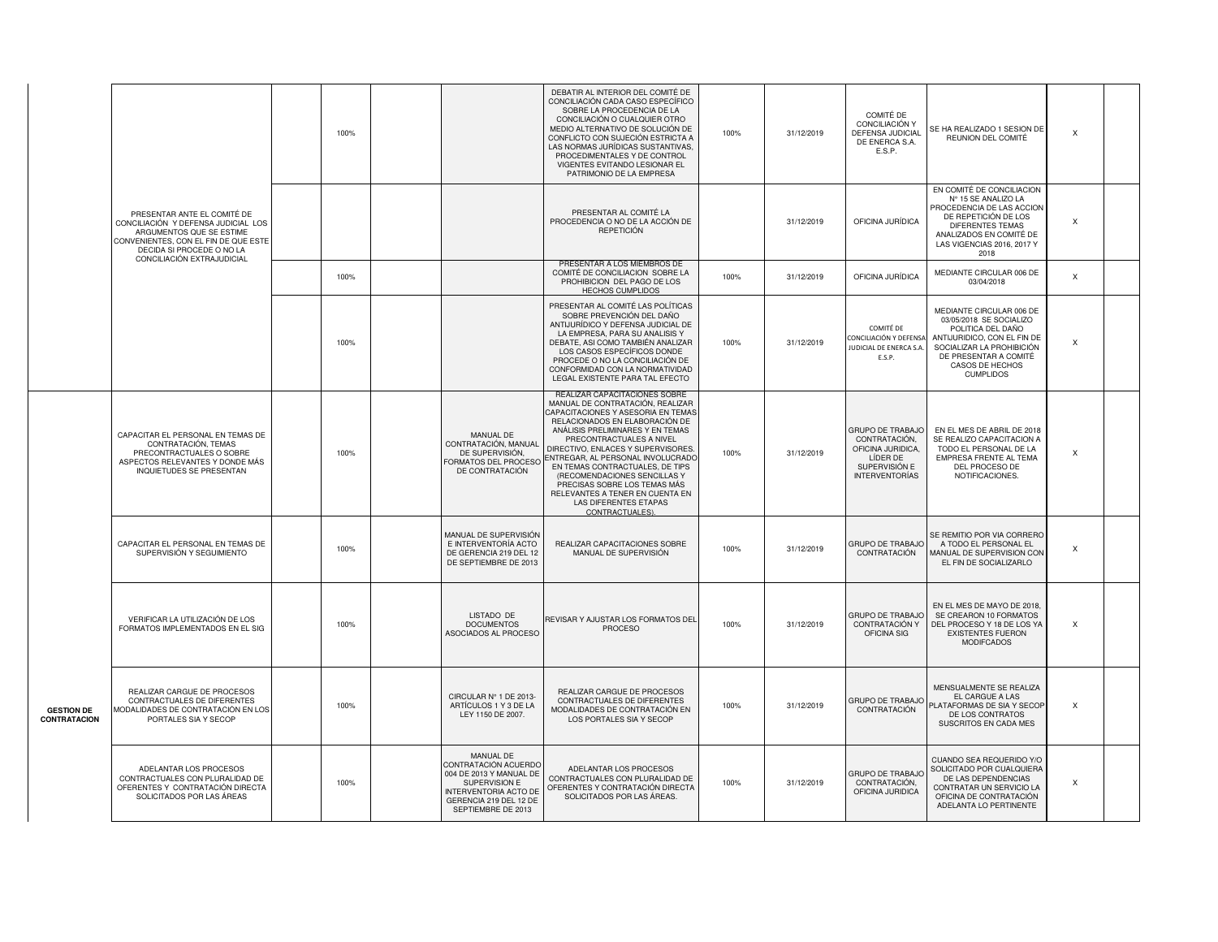|                                   |                                                                                                                                                                                                   | 100% |                                                                                                                                                        | DEBATIR AL INTERIOR DEL COMITÉ DE<br>CONCILIACIÓN CADA CASO ESPECÍFICO<br>SOBRE LA PROCEDENCIA DE LA<br>CONCILIACIÓN O CUALQUIER OTRO<br>MEDIO ALTERNATIVO DE SOLUCIÓN DE<br>CONFLICTO CON SUJECIÓN ESTRICTA A<br>LAS NORMAS JURÍDICAS SUSTANTIVAS.<br>PROCEDIMENTALES Y DE CONTROL<br>VIGENTES EVITANDO LESIONAR EL<br>PATRIMONIO DE LA EMPRESA                                                                                                                      | 100% | 31/12/2019 | COMITÉ DE<br>CONCILIACIÓN Y<br>DEFENSA JUDICIAL<br>DE ENERCA S.A.<br>E.S.P.                                  | SE HA REALIZADO 1 SESION DE<br>REUNION DEL COMITÉ                                                                                                                                                    | $\boldsymbol{\mathsf{X}}$ |  |
|-----------------------------------|---------------------------------------------------------------------------------------------------------------------------------------------------------------------------------------------------|------|--------------------------------------------------------------------------------------------------------------------------------------------------------|-----------------------------------------------------------------------------------------------------------------------------------------------------------------------------------------------------------------------------------------------------------------------------------------------------------------------------------------------------------------------------------------------------------------------------------------------------------------------|------|------------|--------------------------------------------------------------------------------------------------------------|------------------------------------------------------------------------------------------------------------------------------------------------------------------------------------------------------|---------------------------|--|
|                                   | PRESENTAR ANTE EL COMITÉ DE<br>CONCILIACIÓN Y DEFENSA JUDICIAL LOS<br>ARGUMENTOS QUE SE ESTIME<br>CONVENIENTES, CON EL FIN DE QUE ESTE<br>DECIDA SI PROCEDE O NO LA<br>CONCILIACIÓN EXTRAJUDICIAL |      |                                                                                                                                                        | PRESENTAR AL COMITÉ LA<br>PROCEDENCIA O NO DE LA ACCIÓN DE<br>REPETICIÓN                                                                                                                                                                                                                                                                                                                                                                                              |      | 31/12/2019 | OFICINA JURÍDICA                                                                                             | EN COMITÉ DE CONCILIACION<br>N° 15 SE ANALIZO LA<br>PROCEDENCIA DE LAS ACCION<br>DE REPETICIÓN DE LOS<br>DIFERENTES TEMAS<br>ANALIZADOS EN COMITÉ DE<br>LAS VIGENCIAS 2016, 2017 Y<br>2018           | $\boldsymbol{\mathsf{x}}$ |  |
|                                   |                                                                                                                                                                                                   | 100% |                                                                                                                                                        | PRESENTAR A LOS MIEMBROS DE<br>COMITÉ DE CONCILIACION SOBRE LA<br>PROHIBICION DEL PAGO DE LOS<br>HECHOS CUMPLIDOS                                                                                                                                                                                                                                                                                                                                                     | 100% | 31/12/2019 | OFICINA JURÍDICA                                                                                             | MEDIANTE CIRCULAR 006 DE<br>03/04/2018                                                                                                                                                               | $\boldsymbol{\mathsf{x}}$ |  |
|                                   |                                                                                                                                                                                                   | 100% |                                                                                                                                                        | PRESENTAR AL COMITÉ LAS POLÍTICAS<br>SOBRE PREVENCIÓN DEL DAÑO<br>ANTIJURÍDICO Y DEFENSA JUDICIAL DE<br>LA EMPRESA, PARA SU ANALISIS Y<br>DEBATE, ASI COMO TAMBIÉN ANALIZAR<br>LOS CASOS ESPECÍFICOS DONDE<br>PROCEDE O NO LA CONCILIACIÓN DE<br>CONFORMIDAD CON LA NORMATIVIDAD<br>LEGAL EXISTENTE PARA TAL EFECTO                                                                                                                                                   | 100% | 31/12/2019 | COMITÉ DE<br>CONCILIACIÓN Y DEFENSA<br>JUDICIAL DE ENERCA S.A.<br>E.S.P.                                     | MEDIANTE CIRCULAR 006 DE<br>03/05/2018 SE SOCIALIZO<br>POLITICA DEL DAÑO<br>ANTIJURIDICO, CON EL FIN DE<br>SOCIALIZAR LA PROHIBICIÓN<br>DE PRESENTAR A COMITÉ<br>CASOS DE HECHOS<br><b>CUMPLIDOS</b> | X                         |  |
|                                   | CAPACITAR EL PERSONAL EN TEMAS DE<br>CONTRATACIÓN, TEMAS<br>PRECONTRACTUALES O SOBRE<br>ASPECTOS RELEVANTES Y DONDE MÁS<br>INQUIETUDES SE PRESENTAN                                               | 100% | MANUAL DE<br>CONTRATACIÓN, MANUAL<br>DE SUPERVISIÓN,<br>FORMATOS DEL PROCESO<br>DE CONTRATACIÓN                                                        | REALIZAR CAPACITACIONES SOBRE<br>MANUAL DE CONTRATACIÓN, REALIZAR<br>CAPACITACIONES Y ASESORIA EN TEMAS<br>RELACIONADOS EN ELABORACIÓN DE<br>ANÁLISIS PRELIMINARES Y EN TEMAS<br>PRECONTRACTUALES A NIVEL<br>DIRECTIVO, ENLACES Y SUPERVISORES<br>ENTREGAR, AL PERSONAL INVOLUCRADO<br>EN TEMAS CONTRACTUALES, DE TIPS<br>(RECOMENDACIONES SENCILLAS Y<br>PRECISAS SOBRE LOS TEMAS MÁS<br>RELEVANTES A TENER EN CUENTA EN<br>LAS DIFERENTES ETAPAS<br>CONTRACTUALES). | 100% | 31/12/2019 | GRUPO DE TRABAJO<br>CONTRATACIÓN,<br>OFICINA JURIDICA.<br>LÍDER DE<br>SUPERVISIÓN E<br><b>INTERVENTORÍAS</b> | EN EL MES DE ABRIL DE 2018<br>SE REALIZO CAPACITACION A<br>TODO EL PERSONAL DE LA<br>EMPRESA FRENTE AL TEMA<br>DEL PROCESO DE<br>NOTIFICACIONES.                                                     | $\times$                  |  |
|                                   | CAPACITAR EL PERSONAL EN TEMAS DE<br>SUPERVISIÓN Y SEGUIMIENTO                                                                                                                                    | 100% | MANUAL DE SUPERVISIÓN<br>E INTERVENTORÍA ACTO<br>DE GERENCIA 219 DEL 12<br>DE SEPTIEMBRE DE 2013                                                       | REALIZAR CAPACITACIONES SOBRE<br>MANUAL DE SUPERVISIÓN                                                                                                                                                                                                                                                                                                                                                                                                                | 100% | 31/12/2019 | <b>GRUPO DE TRABAJO</b><br>CONTRATACIÓN                                                                      | SE REMITIO POR VIA CORRERO<br>A TODO EL PERSONAL EL<br>MANUAL DE SUPERVISION CON<br>EL FIN DE SOCIALIZARLO                                                                                           | $\times$                  |  |
|                                   | VERIFICAR LA UTILIZACIÓN DE LOS<br>FORMATOS IMPLEMENTADOS EN EL SIG                                                                                                                               | 100% | LISTADO DE<br><b>DOCUMENTOS</b><br>ASOCIADOS AL PROCESO                                                                                                | REVISAR Y AJUSTAR LOS FORMATOS DEL<br>PROCESO                                                                                                                                                                                                                                                                                                                                                                                                                         | 100% | 31/12/2019 | <b>GRUPO DE TRABAJO</b><br>CONTRATACIÓN Y<br>OFICINA SIG                                                     | EN EL MES DE MAYO DE 2018,<br>SE CREARON 10 FORMATOS<br>DEL PROCESO Y 18 DE LOS YA<br><b>EXISTENTES FUERON</b><br><b>MODIFCADOS</b>                                                                  | X                         |  |
| <b>GESTION DE</b><br>CONTRATACION | REALIZAR CARGUE DE PROCESOS<br>CONTRACTUALES DE DIFERENTES<br>MODALIDADES DE CONTRATACIÓN EN LOS<br>PORTALES SIA Y SECOP                                                                          | 100% | CIRCULAR Nº 1 DE 2013-<br>ARTÍCULOS 1 Y 3 DE LA<br>LEY 1150 DE 2007.                                                                                   | REALIZAR CARGUE DE PROCESOS<br>CONTRACTUALES DE DIFERENTES<br>MODALIDADES DE CONTRATACIÓN EN<br>LOS PORTALES SIA Y SECOP                                                                                                                                                                                                                                                                                                                                              | 100% | 31/12/2019 | GRUPO DE TRABAJO<br>CONTRATACIÓN                                                                             | MENSUALMENTE SE REALIZA<br>EL CARGUE A LAS<br>PLATAFORMAS DE SIA Y SECOP<br>DE LOS CONTRATOS<br>SUSCRITOS EN CADA MES                                                                                | $\times$                  |  |
|                                   | ADELANTAR LOS PROCESOS<br>CONTRACTUALES CON PLURALIDAD DE<br>OFERENTES Y CONTRATACIÓN DIRECTA<br>SOLICITADOS POR LAS ÁREAS                                                                        | 100% | MANUAL DE<br>CONTRATACIÓN ACUERDO<br>004 DE 2013 Y MANUAL DE<br>SUPERVISION E<br>INTERVENTORIA ACTO DE<br>GERENCIA 219 DEL 12 DE<br>SEPTIEMBRE DE 2013 | ADELANTAR LOS PROCESOS<br>CONTRACTUALES CON PLURALIDAD DE<br>OFERENTES Y CONTRATACIÓN DIRECTA<br>SOLICITADOS POR LAS ÁREAS.                                                                                                                                                                                                                                                                                                                                           | 100% | 31/12/2019 | GRUPO DE TRABAJO<br>CONTRATACIÓN,<br>OFICINA JURIDICA                                                        | CUANDO SEA REQUERIDO Y/O<br>SOLICITADO POR CUALQUIERA<br>DE LAS DEPENDENCIAS<br>CONTRATAR UN SERVICIO LA<br>OFICINA DE CONTRATACIÓN<br>ADELANTA LO PERTINENTE                                        | X                         |  |